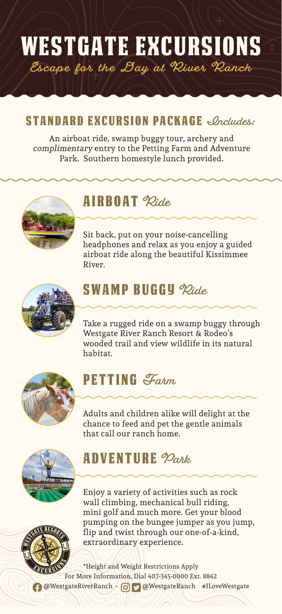## Westgate excursions **Escape for the Day at River Ranch**

#### STANDARD EXCURSION PACKAGE *<u>Includes</u>:*

An airboat ride, swamp buggy tour, archery and complimentary entry to the Petting Farm and Adventure Park. Southern homestyle lunch provided.



#### airboat **Ride**

Sit back, put on your noise-cancelling headphones and relax as you enjoy a guided airboat ride along the beautiful Kissimmee River.



### swamp buggy **Ride**

Take a rugged ride on a swamp buggy through Westgate River Ranch Resort & Rodeo's wooded trail and view wildlife in its natural habitat.



### Petting **Farm**

Adults and children alike will delight at the chance to feed and pet the gentle animals that call our ranch home.



### Adventure **Park**

Enjoy a variety of activities such as rock wall climbing, mechanical bull riding, mini golf and much more. Get your blood pumping on the bungee jumper as you jump, flip and twist through our one-of-a-kind, extraordinary experience.

For More Information, Dial 407-345-0000 Ext. 8842 \*Height and Weight Restrictions Apply @WestgateRiverRanch • @WestgateRanch #ILoveWestgate